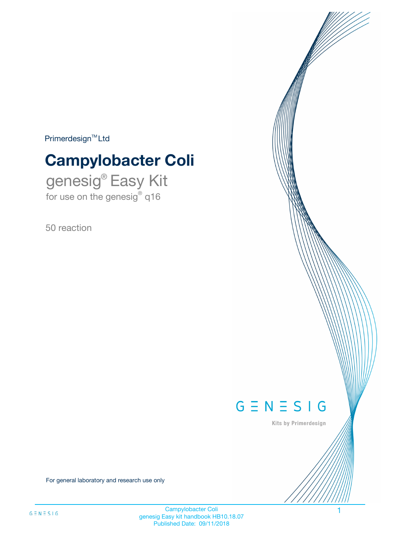$Primerdesign^{\text{TM}}Ltd$ 

# **Campylobacter Coli**

genesig® Easy Kit for use on the genesig® q16

50 reaction



Kits by Primerdesign

For general laboratory and research use only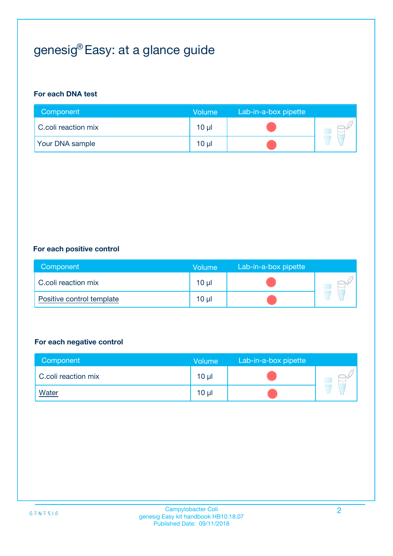# genesig® Easy: at a glance guide

#### **For each DNA test**

| Component              | <b>Volume</b>   | Lab-in-a-box pipette |  |
|------------------------|-----------------|----------------------|--|
| C.coli reaction mix    | 10 µl           |                      |  |
| <b>Your DNA sample</b> | 10 <sub>µ</sub> |                      |  |

#### **For each positive control**

| Component                 | Volume          | Lab-in-a-box pipette |  |
|---------------------------|-----------------|----------------------|--|
| C.coli reaction mix       | 10 <sub>µ</sub> |                      |  |
| Positive control template | 10 <sub>µ</sub> |                      |  |

#### **For each negative control**

| Component           | Volume          | Lab-in-a-box pipette |  |
|---------------------|-----------------|----------------------|--|
| C.coli reaction mix | 10 <sub>µ</sub> |                      |  |
| <b>Water</b>        | 10 <sub>µ</sub> |                      |  |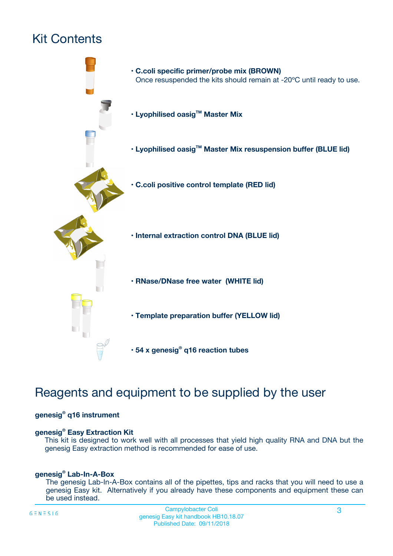# Kit Contents



## Reagents and equipment to be supplied by the user

#### **genesig® q16 instrument**

#### **genesig® Easy Extraction Kit**

This kit is designed to work well with all processes that yield high quality RNA and DNA but the genesig Easy extraction method is recommended for ease of use.

#### **genesig® Lab-In-A-Box**

The genesig Lab-In-A-Box contains all of the pipettes, tips and racks that you will need to use a genesig Easy kit. Alternatively if you already have these components and equipment these can be used instead.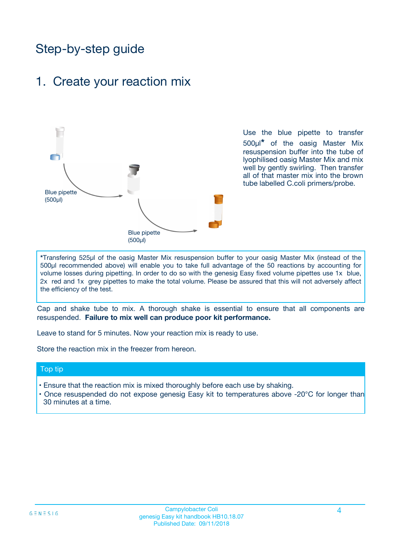## Step-by-step guide

## 1. Create your reaction mix



Use the blue pipette to transfer 500µl**\*** of the oasig Master Mix resuspension buffer into the tube of lyophilised oasig Master Mix and mix well by gently swirling. Then transfer all of that master mix into the brown tube labelled C.coli primers/probe.

**\***Transfering 525µl of the oasig Master Mix resuspension buffer to your oasig Master Mix (instead of the 500µl recommended above) will enable you to take full advantage of the 50 reactions by accounting for volume losses during pipetting. In order to do so with the genesig Easy fixed volume pipettes use 1x blue, 2x red and 1x grey pipettes to make the total volume. Please be assured that this will not adversely affect the efficiency of the test.

Cap and shake tube to mix. A thorough shake is essential to ensure that all components are resuspended. **Failure to mix well can produce poor kit performance.**

Leave to stand for 5 minutes. Now your reaction mix is ready to use.

Store the reaction mix in the freezer from hereon.

#### Top tip

- Ensure that the reaction mix is mixed thoroughly before each use by shaking.
- **•** Once resuspended do not expose genesig Easy kit to temperatures above -20°C for longer than 30 minutes at a time.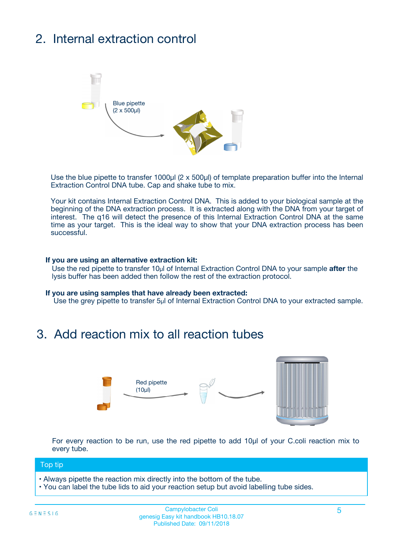# 2. Internal extraction control



Use the blue pipette to transfer 1000µl (2 x 500µl) of template preparation buffer into the Internal Extraction Control DNA tube. Cap and shake tube to mix.

Your kit contains Internal Extraction Control DNA. This is added to your biological sample at the beginning of the DNA extraction process. It is extracted along with the DNA from your target of interest. The q16 will detect the presence of this Internal Extraction Control DNA at the same time as your target. This is the ideal way to show that your DNA extraction process has been **successful.** 

#### **If you are using an alternative extraction kit:**

Use the red pipette to transfer 10µl of Internal Extraction Control DNA to your sample **after** the lysis buffer has been added then follow the rest of the extraction protocol.

#### **If you are using samples that have already been extracted:**

Use the grey pipette to transfer 5µl of Internal Extraction Control DNA to your extracted sample.

## 3. Add reaction mix to all reaction tubes



For every reaction to be run, use the red pipette to add 10µl of your C.coli reaction mix to every tube.

#### Top tip

- Always pipette the reaction mix directly into the bottom of the tube.
- You can label the tube lids to aid your reaction setup but avoid labelling tube sides.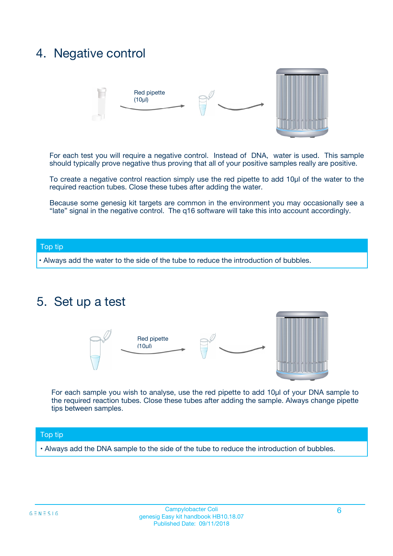## 4. Negative control



For each test you will require a negative control. Instead of DNA, water is used. This sample should typically prove negative thus proving that all of your positive samples really are positive.

To create a negative control reaction simply use the red pipette to add 10µl of the water to the required reaction tubes. Close these tubes after adding the water.

Because some genesig kit targets are common in the environment you may occasionally see a "late" signal in the negative control. The q16 software will take this into account accordingly.

#### Top tip

**•** Always add the water to the side of the tube to reduce the introduction of bubbles.

### 5. Set up a test



For each sample you wish to analyse, use the red pipette to add 10µl of your DNA sample to the required reaction tubes. Close these tubes after adding the sample. Always change pipette tips between samples.

#### Top tip

**•** Always add the DNA sample to the side of the tube to reduce the introduction of bubbles.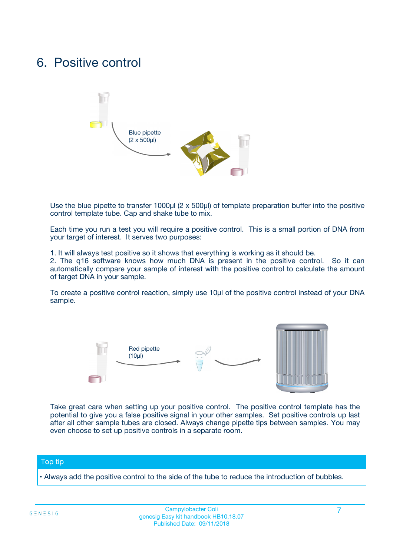## 6. Positive control



Use the blue pipette to transfer 1000µl (2 x 500µl) of template preparation buffer into the positive control template tube. Cap and shake tube to mix.

Each time you run a test you will require a positive control. This is a small portion of DNA from your target of interest. It serves two purposes:

1. It will always test positive so it shows that everything is working as it should be.

2. The q16 software knows how much DNA is present in the positive control. So it can automatically compare your sample of interest with the positive control to calculate the amount of target DNA in your sample.

To create a positive control reaction, simply use 10µl of the positive control instead of your DNA sample.



Take great care when setting up your positive control. The positive control template has the potential to give you a false positive signal in your other samples. Set positive controls up last after all other sample tubes are closed. Always change pipette tips between samples. You may even choose to set up positive controls in a separate room.

#### Top tip

**•** Always add the positive control to the side of the tube to reduce the introduction of bubbles.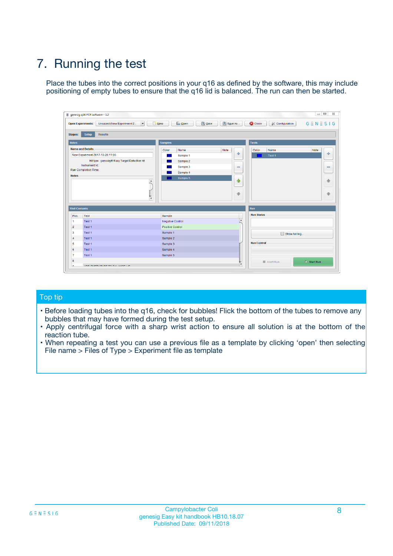# 7. Running the test

Place the tubes into the correct positions in your q16 as defined by the software, this may include positioning of empty tubes to ensure that the q16 lid is balanced. The run can then be started.

| genesig q16 PCR software - 1.2                                               |                                     | $\Box$                                                                                  |
|------------------------------------------------------------------------------|-------------------------------------|-----------------------------------------------------------------------------------------|
| Unsaved (New Experiment 2<br>$\vert \cdot \vert$<br><b>Open Experiments:</b> | <b>D</b> Open<br>Save<br>$\Box$ New | Save As<br><b>C</b> Close<br>$G \equiv N \equiv S \mid G$<br><b>&amp; Configuration</b> |
| Setup<br><b>Results</b><br><b>Stages:</b>                                    |                                     |                                                                                         |
| <b>Notes</b>                                                                 | Samples                             | <b>Tests</b>                                                                            |
| <b>Name and Details</b>                                                      | Color<br>Name                       | Note<br>Color<br>Note<br>Name                                                           |
| New Experiment 2017-10-26 11:06                                              | Sample 1                            | 条<br>علي<br>Test 1                                                                      |
| Kit type: genesig® Easy Target Detection kit                                 | Sample 2                            |                                                                                         |
| Instrument Id.:                                                              | Sample 3                            | $\qquad \qquad \blacksquare$<br>$\qquad \qquad \blacksquare$                            |
| Run Completion Time:                                                         | Sample 4                            |                                                                                         |
| <b>Notes</b>                                                                 | Sample 5<br>A<br>v                  | $\triangle$<br>4<br>$\oplus$<br>₩                                                       |
| <b>Well Contents</b>                                                         |                                     | <b>Run</b>                                                                              |
| Pos.<br>Test                                                                 | Sample                              | <b>Run Status</b>                                                                       |
| Test 1<br>-1                                                                 | <b>Negative Control</b>             | $\blacktriangle$                                                                        |
| $\overline{2}$<br>Test 1                                                     | <b>Positive Control</b>             |                                                                                         |
| $\overline{\mathbf{3}}$<br>Test 1                                            | Sample 1                            | Show full log                                                                           |
| Test 1<br>$\overline{4}$                                                     | Sample 2                            |                                                                                         |
| 5<br>Test 1                                                                  | Sample 3                            | <b>Run Control</b>                                                                      |
| 6<br>Test 1                                                                  | Sample 4                            |                                                                                         |
| $\overline{7}$<br>Test 1                                                     | Sample 5                            |                                                                                         |
| 8                                                                            |                                     | $\triangleright$ Start Run<br>Abort Run                                                 |
| <b>JOD FURTY TUDE TO BUILDED IN</b>                                          |                                     | $\overline{\mathbf{v}}$                                                                 |

#### Top tip

- Before loading tubes into the q16, check for bubbles! Flick the bottom of the tubes to remove any bubbles that may have formed during the test setup.
- Apply centrifugal force with a sharp wrist action to ensure all solution is at the bottom of the reaction tube.
- When repeating a test you can use a previous file as a template by clicking 'open' then selecting File name > Files of Type > Experiment file as template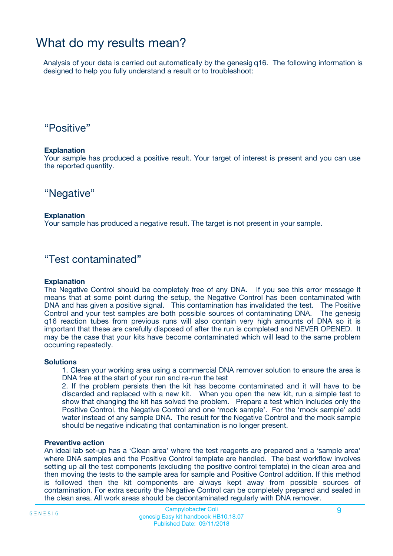## What do my results mean?

Analysis of your data is carried out automatically by the genesig q16. The following information is designed to help you fully understand a result or to troubleshoot:

### "Positive"

#### **Explanation**

Your sample has produced a positive result. Your target of interest is present and you can use the reported quantity.

"Negative"

#### **Explanation**

Your sample has produced a negative result. The target is not present in your sample.

### "Test contaminated"

#### **Explanation**

The Negative Control should be completely free of any DNA. If you see this error message it means that at some point during the setup, the Negative Control has been contaminated with DNA and has given a positive signal. This contamination has invalidated the test. The Positive Control and your test samples are both possible sources of contaminating DNA. The genesig q16 reaction tubes from previous runs will also contain very high amounts of DNA so it is important that these are carefully disposed of after the run is completed and NEVER OPENED. It may be the case that your kits have become contaminated which will lead to the same problem occurring repeatedly.

#### **Solutions**

1. Clean your working area using a commercial DNA remover solution to ensure the area is DNA free at the start of your run and re-run the test

2. If the problem persists then the kit has become contaminated and it will have to be discarded and replaced with a new kit. When you open the new kit, run a simple test to show that changing the kit has solved the problem. Prepare a test which includes only the Positive Control, the Negative Control and one 'mock sample'. For the 'mock sample' add water instead of any sample DNA. The result for the Negative Control and the mock sample should be negative indicating that contamination is no longer present.

#### **Preventive action**

An ideal lab set-up has a 'Clean area' where the test reagents are prepared and a 'sample area' where DNA samples and the Positive Control template are handled. The best workflow involves setting up all the test components (excluding the positive control template) in the clean area and then moving the tests to the sample area for sample and Positive Control addition. If this method is followed then the kit components are always kept away from possible sources of contamination. For extra security the Negative Control can be completely prepared and sealed in the clean area. All work areas should be decontaminated regularly with DNA remover.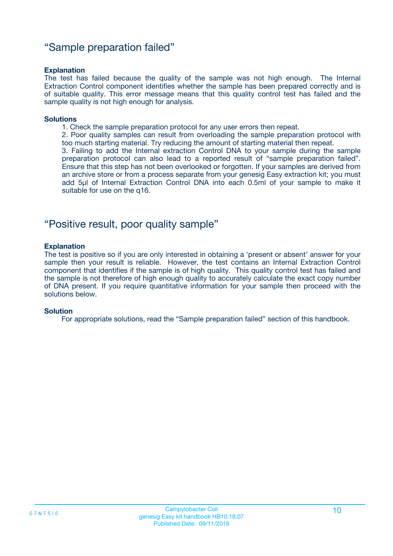### "Sample preparation failed"

#### **Explanation**

The test has failed because the quality of the sample was not high enough. The Internal Extraction Control component identifies whether the sample has been prepared correctly and is of suitable quality. This error message means that this quality control test has failed and the sample quality is not high enough for analysis.

#### **Solutions**

1. Check the sample preparation protocol for any user errors then repeat.

2. Poor quality samples can result from overloading the sample preparation protocol with too much starting material. Try reducing the amount of starting material then repeat.

3. Failing to add the Internal extraction Control DNA to your sample during the sample preparation protocol can also lead to a reported result of "sample preparation failed". Ensure that this step has not been overlooked or forgotten. If your samples are derived from an archive store or from a process separate from your genesig Easy extraction kit; you must add 5µl of Internal Extraction Control DNA into each 0.5ml of your sample to make it suitable for use on the q16.

### "Positive result, poor quality sample"

#### **Explanation**

The test is positive so if you are only interested in obtaining a 'present or absent' answer for your sample then your result is reliable. However, the test contains an Internal Extraction Control component that identifies if the sample is of high quality. This quality control test has failed and the sample is not therefore of high enough quality to accurately calculate the exact copy number of DNA present. If you require quantitative information for your sample then proceed with the solutions below.

#### **Solution**

For appropriate solutions, read the "Sample preparation failed" section of this handbook.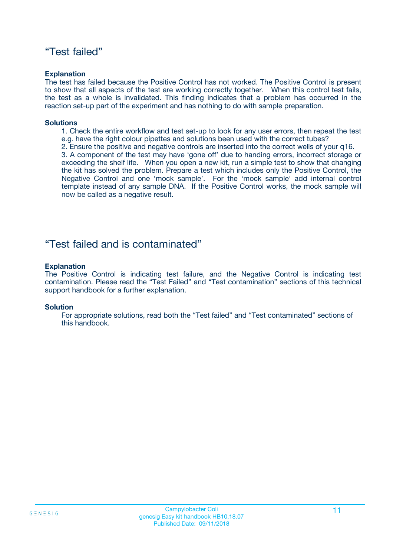### "Test failed"

#### **Explanation**

The test has failed because the Positive Control has not worked. The Positive Control is present to show that all aspects of the test are working correctly together. When this control test fails, the test as a whole is invalidated. This finding indicates that a problem has occurred in the reaction set-up part of the experiment and has nothing to do with sample preparation.

#### **Solutions**

- 1. Check the entire workflow and test set-up to look for any user errors, then repeat the test e.g. have the right colour pipettes and solutions been used with the correct tubes?
- 2. Ensure the positive and negative controls are inserted into the correct wells of your q16.

3. A component of the test may have 'gone off' due to handing errors, incorrect storage or exceeding the shelf life. When you open a new kit, run a simple test to show that changing the kit has solved the problem. Prepare a test which includes only the Positive Control, the Negative Control and one 'mock sample'. For the 'mock sample' add internal control template instead of any sample DNA. If the Positive Control works, the mock sample will now be called as a negative result.

### "Test failed and is contaminated"

#### **Explanation**

The Positive Control is indicating test failure, and the Negative Control is indicating test contamination. Please read the "Test Failed" and "Test contamination" sections of this technical support handbook for a further explanation.

#### **Solution**

For appropriate solutions, read both the "Test failed" and "Test contaminated" sections of this handbook.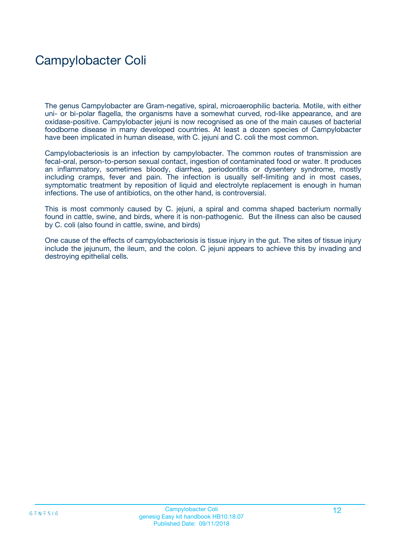## Campylobacter Coli

The genus Campylobacter are Gram-negative, spiral, microaerophilic bacteria. Motile, with either uni- or bi-polar flagella, the organisms have a somewhat curved, rod-like appearance, and are oxidase-positive. Campylobacter jejuni is now recognised as one of the main causes of bacterial foodborne disease in many developed countries. At least a dozen species of Campylobacter have been implicated in human disease, with C. jejuni and C. coli the most common.

Campylobacteriosis is an infection by campylobacter. The common routes of transmission are fecal-oral, person-to-person sexual contact, ingestion of contaminated food or water. It produces an inflammatory, sometimes bloody, diarrhea, periodontitis or dysentery syndrome, mostly including cramps, fever and pain. The infection is usually self-limiting and in most cases, symptomatic treatment by reposition of liquid and electrolyte replacement is enough in human infections. The use of antibiotics, on the other hand, is controversial.

This is most commonly caused by C. jejuni, a spiral and comma shaped bacterium normally found in cattle, swine, and birds, where it is non-pathogenic. But the illness can also be caused by C. coli (also found in cattle, swine, and birds)

One cause of the effects of campylobacteriosis is tissue injury in the gut. The sites of tissue injury include the jejunum, the ileum, and the colon. C jejuni appears to achieve this by invading and destroying epithelial cells.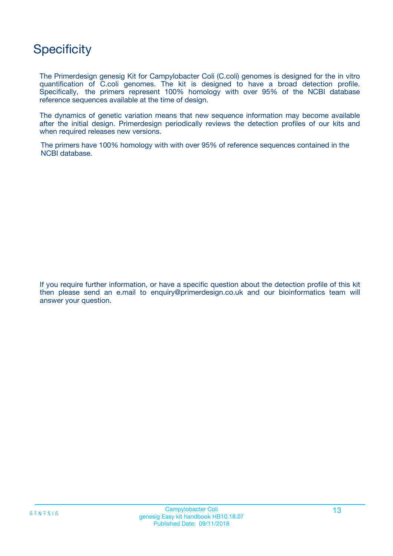## **Specificity**

The Primerdesign genesig Kit for Campylobacter Coli (C.coli) genomes is designed for the in vitro quantification of C.coli genomes. The kit is designed to have a broad detection profile. Specifically, the primers represent 100% homology with over 95% of the NCBI database reference sequences available at the time of design.

The dynamics of genetic variation means that new sequence information may become available after the initial design. Primerdesign periodically reviews the detection profiles of our kits and when required releases new versions.

The primers have 100% homology with with over 95% of reference sequences contained in the NCBI database.

If you require further information, or have a specific question about the detection profile of this kit then please send an e.mail to enquiry@primerdesign.co.uk and our bioinformatics team will answer your question.